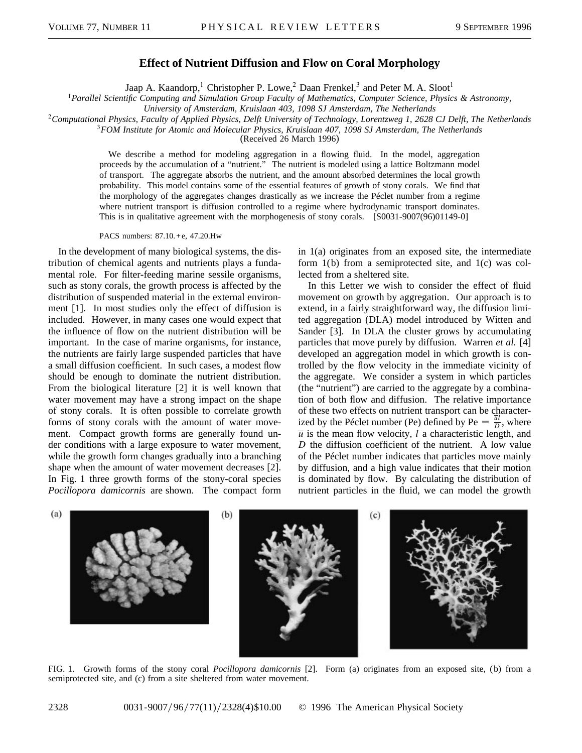## **Effect of Nutrient Diffusion and Flow on Coral Morphology**

Jaap A. Kaandorp,<sup>1</sup> Christopher P. Lowe,<sup>2</sup> Daan Frenkel,<sup>3</sup> and Peter M. A. Sloot<sup>1</sup>

<sup>1</sup>*Parallel Scientific Computing and Simulation Group Faculty of Mathematics, Computer Science, Physics & Astronomy,*

*University of Amsterdam, Kruislaan 403, 1098 SJ Amsterdam, The Netherlands*

<sup>2</sup>*Computational Physics, Faculty of Applied Physics, Delft University of Technology, Lorentzweg 1, 2628 CJ Delft, The Netherlands*

<sup>3</sup>*FOM Institute for Atomic and Molecular Physics, Kruislaan 407, 1098 SJ Amsterdam, The Netherlands*

(Received 26 March 1996)

We describe a method for modeling aggregation in a flowing fluid. In the model, aggregation proceeds by the accumulation of a "nutrient." The nutrient is modeled using a lattice Boltzmann model of transport. The aggregate absorbs the nutrient, and the amount absorbed determines the local growth probability. This model contains some of the essential features of growth of stony corals. We find that the morphology of the aggregates changes drastically as we increase the Péclet number from a regime where nutrient transport is diffusion controlled to a regime where hydrodynamic transport dominates. This is in qualitative agreement with the morphogenesis of stony corals. [S0031-9007(96)01149-0]

PACS numbers: 87.10.+e, 47.20.Hw

In the development of many biological systems, the distribution of chemical agents and nutrients plays a fundamental role. For filter-feeding marine sessile organisms, such as stony corals, the growth process is affected by the distribution of suspended material in the external environment [1]. In most studies only the effect of diffusion is included. However, in many cases one would expect that the influence of flow on the nutrient distribution will be important. In the case of marine organisms, for instance, the nutrients are fairly large suspended particles that have a small diffusion coefficient. In such cases, a modest flow should be enough to dominate the nutrient distribution. From the biological literature [2] it is well known that water movement may have a strong impact on the shape of stony corals. It is often possible to correlate growth forms of stony corals with the amount of water movement. Compact growth forms are generally found under conditions with a large exposure to water movement, while the growth form changes gradually into a branching shape when the amount of water movement decreases [2]. In Fig. 1 three growth forms of the stony-coral species *Pocillopora damicornis* are shown. The compact form in 1(a) originates from an exposed site, the intermediate form 1(b) from a semiprotected site, and 1(c) was collected from a sheltered site.

In this Letter we wish to consider the effect of fluid movement on growth by aggregation. Our approach is to extend, in a fairly straightforward way, the diffusion limited aggregation (DLA) model introduced by Witten and Sander [3]. In DLA the cluster grows by accumulating particles that move purely by diffusion. Warren *et al.* [4] developed an aggregation model in which growth is controlled by the flow velocity in the immediate vicinity of the aggregate. We consider a system in which particles (the "nutrient") are carried to the aggregate by a combination of both flow and diffusion. The relative importance of these two effects on nutrient transport can be characterized by the Péclet number (Pe) defined by Pe  $=$   $\frac{\overline{u}l}{D}$ , where  $\overline{u}$  is the mean flow velocity, *l* a characteristic length, and *D* the diffusion coefficient of the nutrient. A low value of the Péclet number indicates that particles move mainly by diffusion, and a high value indicates that their motion is dominated by flow. By calculating the distribution of nutrient particles in the fluid, we can model the growth



FIG. 1. Growth forms of the stony coral *Pocillopora damicornis* [2]. Form (a) originates from an exposed site, (b) from a semiprotected site, and (c) from a site sheltered from water movement.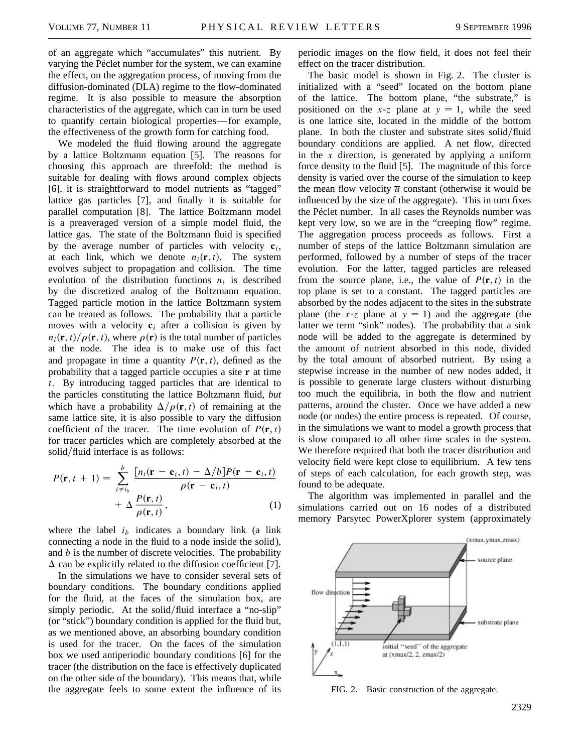of an aggregate which "accumulates" this nutrient. By varying the Péclet number for the system, we can examine the effect, on the aggregation process, of moving from the diffusion-dominated (DLA) regime to the flow-dominated regime. It is also possible to measure the absorption characteristics of the aggregate, which can in turn be used to quantify certain biological properties— for example, the effectiveness of the growth form for catching food.

We modeled the fluid flowing around the aggregate by a lattice Boltzmann equation [5]. The reasons for choosing this approach are threefold: the method is suitable for dealing with flows around complex objects [6], it is straightforward to model nutrients as "tagged" lattice gas particles [7], and finally it is suitable for parallel computation [8]. The lattice Boltzmann model is a preaveraged version of a simple model fluid, the lattice gas. The state of the Boltzmann fluid is specified by the average number of particles with velocity  $c_i$ , at each link, which we denote  $n_i(\mathbf{r}, t)$ . The system evolves subject to propagation and collision. The time evolution of the distribution functions  $n_i$  is described by the discretized analog of the Boltzmann equation. Tagged particle motion in the lattice Boltzmann system can be treated as follows. The probability that a particle moves with a velocity  $c_i$  after a collision is given by  $n_i(\mathbf{r}, t)/\rho(\mathbf{r}, t)$ , where  $\rho(\mathbf{r})$  is the total number of particles at the node. The idea is to make use of this fact and propagate in time a quantity  $P(\mathbf{r}, t)$ , defined as the probability that a tagged particle occupies a site **r** at time *t*. By introducing tagged particles that are identical to the particles constituting the lattice Boltzmann fluid, *but* which have a probability  $\Delta/\rho(\mathbf{r},t)$  of remaining at the same lattice site, it is also possible to vary the diffusion coefficient of the tracer. The time evolution of  $P(\mathbf{r}, t)$ for tracer particles which are completely absorbed at the solid/fluid interface is as follows:

$$
P(\mathbf{r}, t+1) = \sum_{i \neq i_b}^{b} \frac{\left[n_i(\mathbf{r} - \mathbf{c}_i, t) - \Delta/b\right]P(\mathbf{r} - \mathbf{c}_i, t)}{\rho(\mathbf{r} - \mathbf{c}_i, t)} + \Delta \frac{P(\mathbf{r}, t)}{\rho(\mathbf{r}, t)},
$$
(1)

where the label  $i<sub>b</sub>$  indicates a boundary link (a link connecting a node in the fluid to a node inside the solid ), and *b* is the number of discrete velocities. The probability  $\Delta$  can be explicitly related to the diffusion coefficient [7].

In the simulations we have to consider several sets of boundary conditions. The boundary conditions applied for the fluid, at the faces of the simulation box, are simply periodic. At the solid/fluid interface a "no-slip" (or "stick") boundary condition is applied for the fluid but, as we mentioned above, an absorbing boundary condition is used for the tracer. On the faces of the simulation box we used antiperiodic boundary conditions [6] for the tracer (the distribution on the face is effectively duplicated on the other side of the boundary). This means that, while the aggregate feels to some extent the influence of its

periodic images on the flow field, it does not feel their effect on the tracer distribution.

The basic model is shown in Fig. 2. The cluster is initialized with a "seed" located on the bottom plane of the lattice. The bottom plane, "the substrate," is positioned on the  $x-z$  plane at  $y = 1$ , while the seed is one lattice site, located in the middle of the bottom plane. In both the cluster and substrate sites solid/fluid boundary conditions are applied. A net flow, directed in the *x* direction, is generated by applying a uniform force density to the fluid [5]. The magnitude of this force density is varied over the course of the simulation to keep the mean flow velocity  $\overline{u}$  constant (otherwise it would be influenced by the size of the aggregate). This in turn fixes the Péclet number. In all cases the Reynolds number was kept very low, so we are in the "creeping flow" regime. The aggregation process proceeds as follows. First a number of steps of the lattice Boltzmann simulation are performed, followed by a number of steps of the tracer evolution. For the latter, tagged particles are released from the source plane, i.e., the value of  $P(\mathbf{r}, t)$  in the top plane is set to a constant. The tagged particles are absorbed by the nodes adjacent to the sites in the substrate plane (the  $x-z$  plane at  $y = 1$ ) and the aggregate (the latter we term "sink" nodes). The probability that a sink node will be added to the aggregate is determined by the amount of nutrient absorbed in this node, divided by the total amount of absorbed nutrient. By using a stepwise increase in the number of new nodes added, it is possible to generate large clusters without disturbing too much the equilibria, in both the flow and nutrient patterns, around the cluster. Once we have added a new node (or nodes) the entire process is repeated. Of course, in the simulations we want to model a growth process that is slow compared to all other time scales in the system. We therefore required that both the tracer distribution and velocity field were kept close to equilibrium. A few tens of steps of each calculation, for each growth step, was found to be adequate.

The algorithm was implemented in parallel and the simulations carried out on 16 nodes of a distributed memory Parsytec PowerXplorer system (approximately



FIG. 2. Basic construction of the aggregate.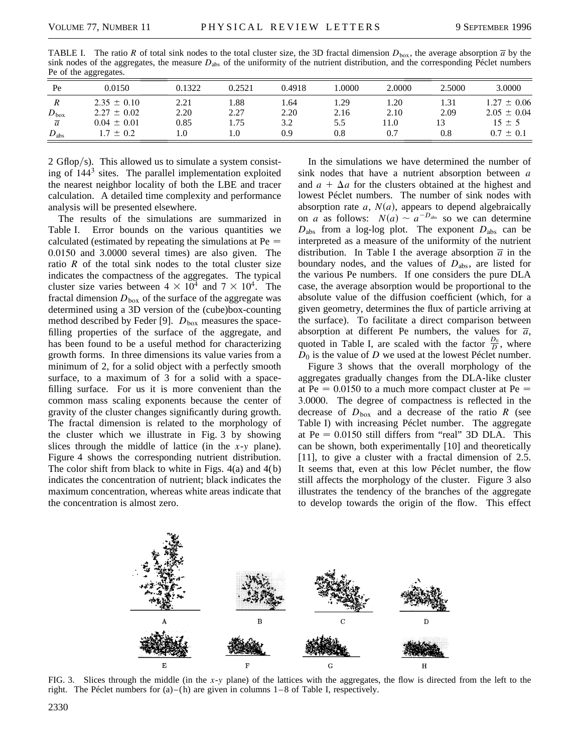| -------<br>----------- |                 |        |        |        |       |        |        |                 |
|------------------------|-----------------|--------|--------|--------|-------|--------|--------|-----------------|
| Pe                     | 0.0150          | 0.1322 | 0.2521 | 0.4918 | .0000 | 2.0000 | 2.5000 | 3.0000          |
| $\boldsymbol{R}$       | $2.35 \pm 0.10$ | 2.21   | . .88  | . .64  | . 29  | 1.20   | 1.31   | $1.27 \pm 0.06$ |
| $D_{\text{box}}$       | $2.27 \pm 0.02$ | 2.20   | 2.27   | 2.20   | 2.16  | 2.10   | 2.09   | $2.05 \pm 0.04$ |
| $\overline{a}$         | $0.04 \pm 0.01$ | 0.85   | 1.75   | 3.2    | 5.5   | .1.0   |        | $15 \pm 5$      |
| $D_{\rm abs}$          | $1.7 \pm 0.2$   | L.O    | .0     | 0.9    | 0.8   | 0.7    | 0.8    | $0.7 \pm 0.1$   |
|                        |                 |        |        |        |       |        |        |                 |

TABLE I. The ratio *R* of total sink nodes to the total cluster size, the 3D fractal dimension  $D_{\text{box}}$ , the average absorption  $\overline{a}$  by the sink nodes of the aggregates, the measure *D*abs of the uniformity of the nutrient distribution, and the corresponding Péclet numbers Pe of the aggregates.

2 Gflop/s). This allowed us to simulate a system consisting of 144<sup>3</sup> sites. The parallel implementation exploited the nearest neighbor locality of both the LBE and tracer calculation. A detailed time complexity and performance analysis will be presented elsewhere.

The results of the simulations are summarized in Table I. Error bounds on the various quantities we calculated (estimated by repeating the simulations at  $Pe =$ 0.0150 and 3.0000 several times) are also given. The ratio  $R$  of the total sink nodes to the total cluster size indicates the compactness of the aggregates. The typical cluster size varies between  $4 \times 10^4$  and  $7 \times 10^4$ . The fractal dimension  $D_{\text{box}}$  of the surface of the aggregate was determined using a 3D version of the (cube)box-counting method described by Feder [9].  $D_{\text{box}}$  measures the spacefilling properties of the surface of the aggregate, and has been found to be a useful method for characterizing growth forms. In three dimensions its value varies from a minimum of 2, for a solid object with a perfectly smooth surface, to a maximum of 3 for a solid with a spacefilling surface. For us it is more convenient than the common mass scaling exponents because the center of gravity of the cluster changes significantly during growth. The fractal dimension is related to the morphology of the cluster which we illustrate in Fig. 3 by showing slices through the middle of lattice (in the *x*-*y* plane). Figure 4 shows the corresponding nutrient distribution. The color shift from black to white in Figs.  $4(a)$  and  $4(b)$ indicates the concentration of nutrient; black indicates the maximum concentration, whereas white areas indicate that the concentration is almost zero.

In the simulations we have determined the number of sink nodes that have a nutrient absorption between *a* and  $a + \Delta a$  for the clusters obtained at the highest and lowest Péclet numbers. The number of sink nodes with absorption rate  $a$ ,  $N(a)$ , appears to depend algebraically on *a* as follows:  $N(a) \sim a^{-D_{\text{abs}}}$  so we can determine  $D_{\text{abs}}$  from a log-log plot. The exponent  $D_{\text{abs}}$  can be interpreted as a measure of the uniformity of the nutrient distribution. In Table I the average absorption  $\overline{a}$  in the boundary nodes, and the values of *D*abs, are listed for the various Pe numbers. If one considers the pure DLA case, the average absorption would be proportional to the absolute value of the diffusion coefficient (which, for a given geometry, determines the flux of particle arriving at the surface). To facilitate a direct comparison between absorption at different Pe numbers, the values for  $\overline{a}$ , quoted in Table I, are scaled with the factor  $\frac{D_0}{D}$ , where *D*<sup>0</sup> is the value of *D* we used at the lowest Péclet number.

Figure 3 shows that the overall morphology of the aggregates gradually changes from the DLA-like cluster at Pe  $= 0.0150$  to a much more compact cluster at Pe  $=$ 3.0000. The degree of compactness is reflected in the decrease of  $D_{\text{box}}$  and a decrease of the ratio *R* (see Table I) with increasing Péclet number. The aggregate at  $Pe = 0.0150$  still differs from "real" 3D DLA. This can be shown, both experimentally [10] and theoretically [11], to give a cluster with a fractal dimension of 2.5. It seems that, even at this low Péclet number, the flow still affects the morphology of the cluster. Figure 3 also illustrates the tendency of the branches of the aggregate to develop towards the origin of the flow. This effect



FIG. 3. Slices through the middle (in the *x*-*y* plane) of the lattices with the aggregates, the flow is directed from the left to the right. The Péclet numbers for  $(a)$ – $(h)$  are given in columns  $1-8$  of Table I, respectively.